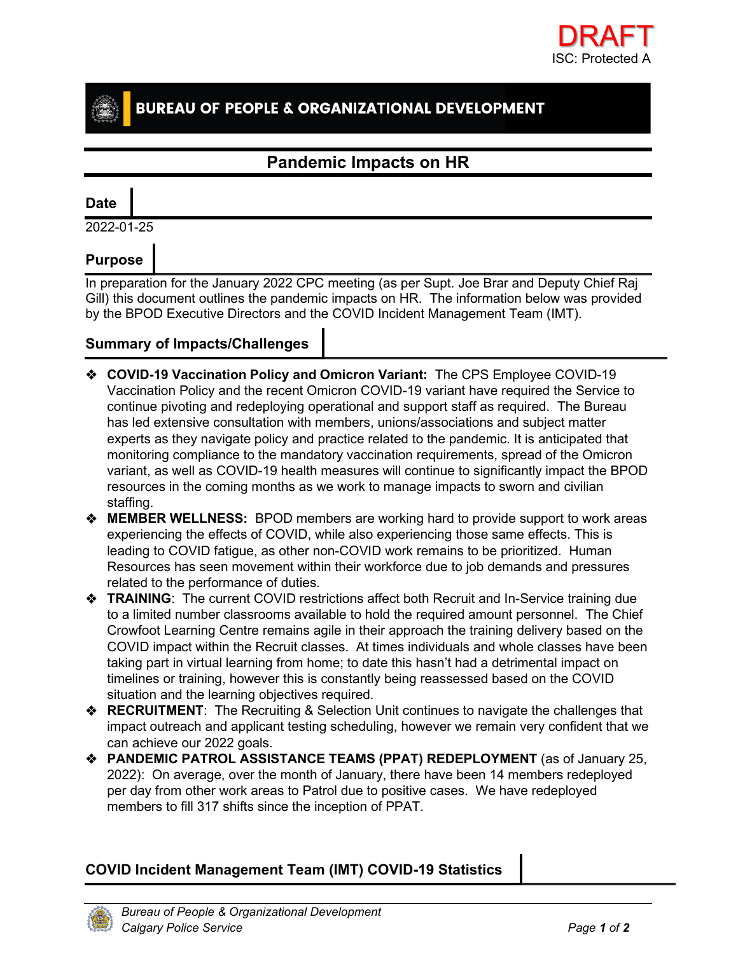

# **BUREAU OF PEOPLE & ORGANIZATIONAL DEVELOPMENT**

## **Pandemic Impacts on HR**

### **Date**

2022-01-25

## **Purpose**

In preparation for the January 2022 CPC meeting (as per Supt. Joe Brar and Deputy Chief Raj Gill) this document outlines the pandemic impacts on HR. The information below was provided by the BPOD Executive Directors and the COVID Incident Management Team (IMT).

#### **Summary of Impacts/Challenges**

- **COVID-19 Vaccination Policy and Omicron Variant:** The CPS Employee COVID-19 Vaccination Policy and the recent Omicron COVID-19 variant have required the Service to continue pivoting and redeploying operational and support staff as required. The Bureau has led extensive consultation with members, unions/associations and subject matter experts as they navigate policy and practice related to the pandemic. It is anticipated that monitoring compliance to the mandatory vaccination requirements, spread of the Omicron variant, as well as COVID-19 health measures will continue to significantly impact the BPOD resources in the coming months as we work to manage impacts to sworn and civilian staffing.
- **MEMBER WELLNESS:** BPOD members are working hard to provide support to work areas experiencing the effects of COVID, while also experiencing those same effects. This is leading to COVID fatigue, as other non-COVID work remains to be prioritized. Human Resources has seen movement within their workforce due to job demands and pressures related to the performance of duties.
- **EXAINING:** The current COVID restrictions affect both Recruit and In-Service training due to a limited number classrooms available to hold the required amount personnel. The Chief Crowfoot Learning Centre remains agile in their approach the training delivery based on the COVID impact within the Recruit classes. At times individuals and whole classes have been taking part in virtual learning from home; to date this hasn't had a detrimental impact on timelines or training, however this is constantly being reassessed based on the COVID situation and the learning objectives required.
- **RECRUITMENT**: The Recruiting & Selection Unit continues to navigate the challenges that impact outreach and applicant testing scheduling, however we remain very confident that we can achieve our 2022 goals.
- **PANDEMIC PATROL ASSISTANCE TEAMS (PPAT) REDEPLOYMENT** (as of January 25, 2022): On average, over the month of January, there have been 14 members redeployed per day from other work areas to Patrol due to positive cases. We have redeployed members to fill 317 shifts since the inception of PPAT.

### **COVID Incident Management Team (IMT) COVID-19 Statistics**